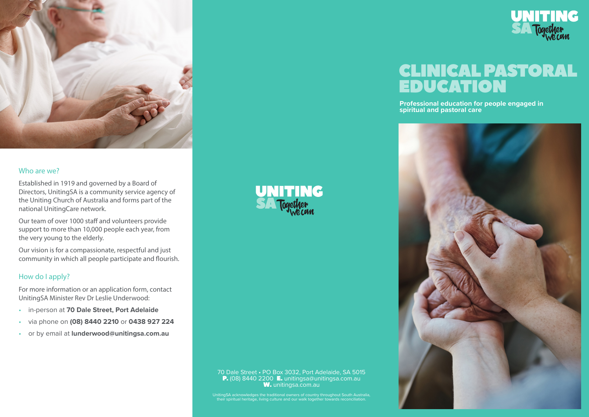

### Who are we?

Established in 1919 and governed by a Board of Directors, UnitingSA is a community service agency of the Uniting Church of Australia and forms part of the national UnitingCare network.

Our team of over 1000 staff and volunteers provide support to more than 10,000 people each year, from the very young to the elderly.

Our vision is for a compassionate, respectful and just community in which all people participate and flourish.

### How do I apply?

For more information or an application form, contact UnitingSA Minister Rev Dr Leslie Underwood:

- in-person at **70 Dale Street, Port Adelaide**
- via phone on **(08) 8440 2210** or **0438 927 224**
- or by email at **lunderwood@unitingsa.com.au**

**UNITING** 

#### 70 Dale Street • PO Box 3032, Port Adelaide, SA 5015 P. (08) 8440 2200 E. unitingsa@unitingsa.com.au W. unitingsa.com.au

UnitingSA acknowledges the traditional owners of country throughout South Australia, their spiritual heritage, living culture and our walk together towards reconciliation.



# CLINICAL PASTORAL EDUCATION

**Professional education for people engaged in spiritual and pastoral care**